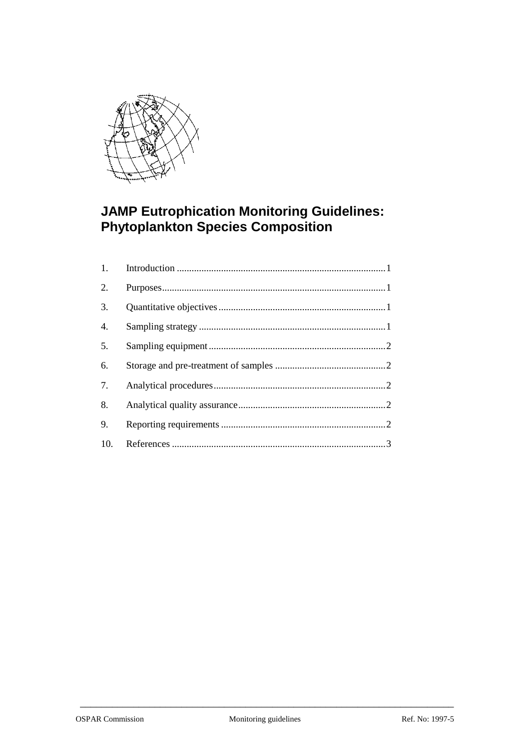

# **JAMP Eutrophication Monitoring Guidelines:<br>Phytoplankton Species Composition**

| 1.               |  |
|------------------|--|
| 2.               |  |
| 3.               |  |
| $\overline{4}$ . |  |
| 5.               |  |
| 6.               |  |
| 7.               |  |
| 8.               |  |
| 9.               |  |
| 10.              |  |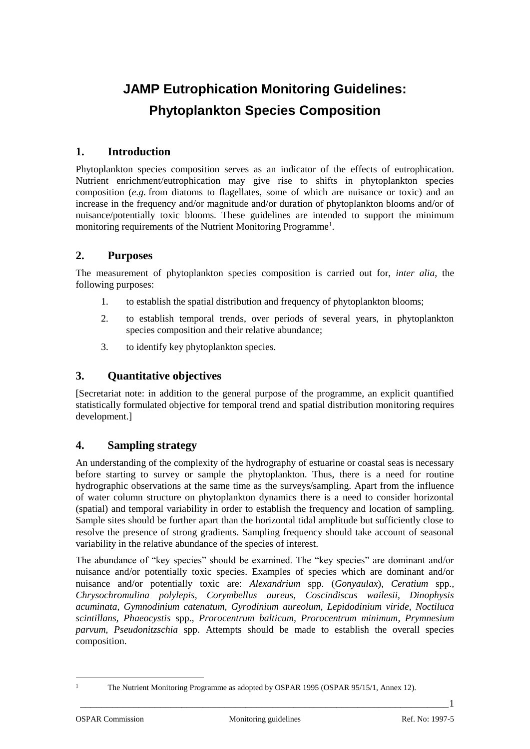# **JAMP Eutrophication Monitoring Guidelines: Phytoplankton Species Composition**

## **1. Introduction**

Phytoplankton species composition serves as an indicator of the effects of eutrophication. Nutrient enrichment/eutrophication may give rise to shifts in phytoplankton species composition (*e.g.* from diatoms to flagellates, some of which are nuisance or toxic) and an increase in the frequency and/or magnitude and/or duration of phytoplankton blooms and/or of nuisance/potentially toxic blooms. These guidelines are intended to support the minimum monitoring requirements of the Nutrient Monitoring Programme<sup>1</sup>.

#### **2. Purposes**

The measurement of phytoplankton species composition is carried out for, *inter alia*, the following purposes:

- 1. to establish the spatial distribution and frequency of phytoplankton blooms;
- 2. to establish temporal trends, over periods of several years, in phytoplankton species composition and their relative abundance;
- 3. to identify key phytoplankton species.

#### **3. Quantitative objectives**

[Secretariat note: in addition to the general purpose of the programme, an explicit quantified statistically formulated objective for temporal trend and spatial distribution monitoring requires development.]

#### **4. Sampling strategy**

An understanding of the complexity of the hydrography of estuarine or coastal seas is necessary before starting to survey or sample the phytoplankton. Thus, there is a need for routine hydrographic observations at the same time as the surveys/sampling. Apart from the influence of water column structure on phytoplankton dynamics there is a need to consider horizontal (spatial) and temporal variability in order to establish the frequency and location of sampling. Sample sites should be further apart than the horizontal tidal amplitude but sufficiently close to resolve the presence of strong gradients. Sampling frequency should take account of seasonal variability in the relative abundance of the species of interest.

The abundance of "key species" should be examined. The "key species" are dominant and/or nuisance and/or potentially toxic species. Examples of species which are dominant and/or nuisance and/or potentially toxic are: *Alexandrium* spp. (*Gonyaulax*)*, Ceratium* spp.*, Chrysochromulina polylepis, Corymbellus aureus, Coscindiscus wailesii, Dinophysis acuminata, Gymnodinium catenatum, Gyrodinium aureolum, Lepidodinium viride, Noctiluca scintillans, Phaeocystis* spp.*, Prorocentrum balticum, Prorocentrum minimum, Prymnesium parvum, Pseudonitzschia* spp. Attempts should be made to establish the overall species composition.

 $\overline{a}$ 

<sup>&</sup>lt;sup>1</sup> The Nutrient Monitoring Programme as adopted by OSPAR 1995 (OSPAR 95/15/1, Annex 12).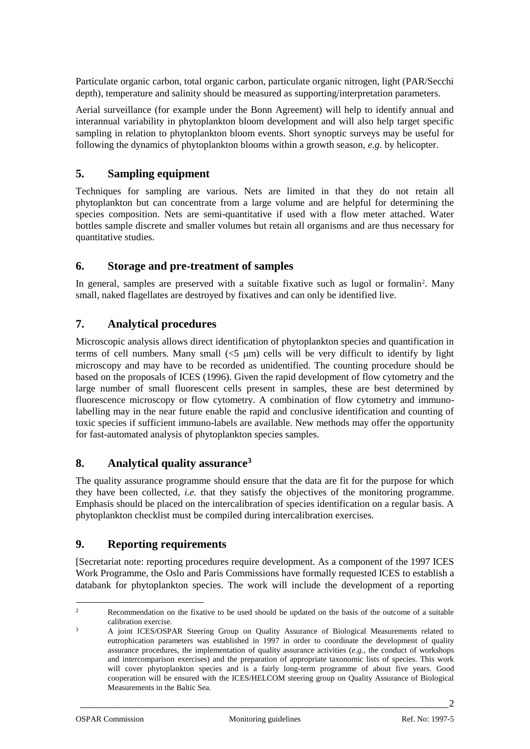Particulate organic carbon, total organic carbon, particulate organic nitrogen, light (PAR/Secchi depth), temperature and salinity should be measured as supporting/interpretation parameters.

Aerial surveillance (for example under the Bonn Agreement) will help to identify annual and interannual variability in phytoplankton bloom development and will also help target specific sampling in relation to phytoplankton bloom events. Short synoptic surveys may be useful for following the dynamics of phytoplankton blooms within a growth season, *e.g.* by helicopter.

# **5. Sampling equipment**

Techniques for sampling are various. Nets are limited in that they do not retain all phytoplankton but can concentrate from a large volume and are helpful for determining the species composition. Nets are semi-quantitative if used with a flow meter attached. Water bottles sample discrete and smaller volumes but retain all organisms and are thus necessary for quantitative studies.

#### **6. Storage and pre-treatment of samples**

In general, samples are preserved with a suitable fixative such as lugol or formalin<sup>2</sup>. Many small, naked flagellates are destroyed by fixatives and can only be identified live.

## **7. Analytical procedures**

Microscopic analysis allows direct identification of phytoplankton species and quantification in terms of cell numbers. Many small  $(5 \mu m)$  cells will be very difficult to identify by light microscopy and may have to be recorded as unidentified. The counting procedure should be based on the proposals of ICES (1996). Given the rapid development of flow cytometry and the large number of small fluorescent cells present in samples, these are best determined by fluorescence microscopy or flow cytometry. A combination of flow cytometry and immunolabelling may in the near future enable the rapid and conclusive identification and counting of toxic species if sufficient immuno-labels are available. New methods may offer the opportunity for fast-automated analysis of phytoplankton species samples.

# **8. Analytical quality assurance<sup>3</sup>**

The quality assurance programme should ensure that the data are fit for the purpose for which they have been collected, *i.e.* that they satisfy the objectives of the monitoring programme. Emphasis should be placed on the intercalibration of species identification on a regular basis. A phytoplankton checklist must be compiled during intercalibration exercises.

#### **9. Reporting requirements**

[Secretariat note: reporting procedures require development. As a component of the 1997 ICES Work Programme, the Oslo and Paris Commissions have formally requested ICES to establish a databank for phytoplankton species. The work will include the development of a reporting

L,

<sup>2</sup> Recommendation on the fixative to be used should be updated on the basis of the outcome of a suitable calibration exercise.

<sup>&</sup>lt;sup>3</sup> A joint ICES/OSPAR Steering Group on Quality Assurance of Biological Measurements related to eutrophication parameters was established in 1997 in order to coordinate the development of quality assurance procedures, the implementation of quality assurance activities (*e.g.*, the conduct of workshops and intercomparison exercises) and the preparation of appropriate taxonomic lists of species. This work will cover phytoplankton species and is a fairly long-term programme of about five years. Good cooperation will be ensured with the ICES/HELCOM steering group on Quality Assurance of Biological Measurements in the Baltic Sea.